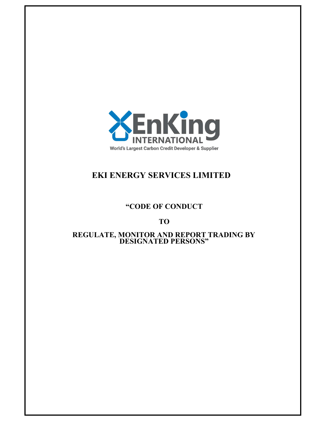

# EKI ENERGY SERVICES LIMITED

## "CODE OF CONDUCT

## TO

## REGULATE, MONITOR AND REPORT TRADING BY DESIGNATED PERSONS"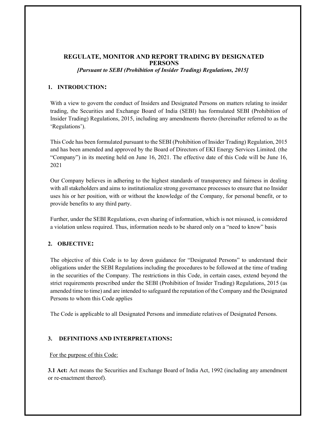## REGULATE, MONITOR AND REPORT TRADING BY DESIGNATED PERSONS

[Pursuant to SEBI (Prohibition of Insider Trading) Regulations, 2015]

## 1. INTRODUCTION:

With a view to govern the conduct of Insiders and Designated Persons on matters relating to insider trading, the Securities and Exchange Board of India (SEBI) has formulated SEBI (Prohibition of Insider Trading) Regulations, 2015, including any amendments thereto (hereinafter referred to as the 'Regulations').

This Code has been formulated pursuant to the SEBI (Prohibition of Insider Trading) Regulation, 2015 and has been amended and approved by the Board of Directors of EKI Energy Services Limited. (the "Company") in its meeting held on June 16, 2021. The effective date of this Code will be June 16, 2021

Our Company believes in adhering to the highest standards of transparency and fairness in dealing with all stakeholders and aims to institutionalize strong governance processes to ensure that no Insider uses his or her position, with or without the knowledge of the Company, for personal benefit, or to provide benefits to any third party.

Further, under the SEBI Regulations, even sharing of information, which is not misused, is considered a violation unless required. Thus, information needs to be shared only on a "need to know" basis

## 2. OBJECTIVE:

The objective of this Code is to lay down guidance for "Designated Persons" to understand their obligations under the SEBI Regulations including the procedures to be followed at the time of trading in the securities of the Company. The restrictions in this Code, in certain cases, extend beyond the strict requirements prescribed under the SEBI (Prohibition of Insider Trading) Regulations, 2015 (as amended time to time) and are intended to safeguard the reputation of the Company and the Designated Persons to whom this Code applies

The Code is applicable to all Designated Persons and immediate relatives of Designated Persons.

## 3. DEFINITIONS AND INTERPRETATIONS:

#### For the purpose of this Code:

3.1 Act: Act means the Securities and Exchange Board of India Act, 1992 (including any amendment or re-enactment thereof).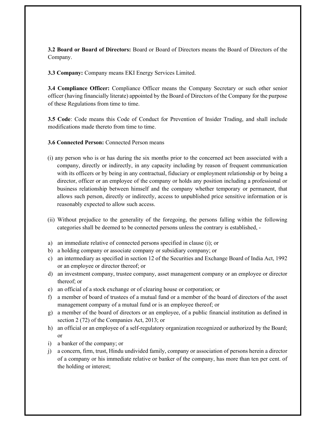3.2 Board or Board of Directors: Board or Board of Directors means the Board of Directors of the Company.

3.3 Company: Company means EKI Energy Services Limited.

3.4 Compliance Officer: Compliance Officer means the Company Secretary or such other senior officer (having financially literate) appointed by the Board of Directors of the Company for the purpose of these Regulations from time to time.

3.5 Code: Code means this Code of Conduct for Prevention of Insider Trading, and shall include modifications made thereto from time to time.

- 3.6 Connected Person: Connected Person means
- (i) any person who is or has during the six months prior to the concerned act been associated with a company, directly or indirectly, in any capacity including by reason of frequent communication with its officers or by being in any contractual, fiduciary or employment relationship or by being a director, officer or an employee of the company or holds any position including a professional or business relationship between himself and the company whether temporary or permanent, that allows such person, directly or indirectly, access to unpublished price sensitive information or is reasonably expected to allow such access.
- (ii) Without prejudice to the generality of the foregoing, the persons falling within the following categories shall be deemed to be connected persons unless the contrary is established, -
- a) an immediate relative of connected persons specified in clause (i); or
- b) a holding company or associate company or subsidiary company; or
- c) an intermediary as specified in section 12 of the Securities and Exchange Board of India Act, 1992 or an employee or director thereof; or
- d) an investment company, trustee company, asset management company or an employee or director thereof; or
- e) an official of a stock exchange or of clearing house or corporation; or
- f) a member of board of trustees of a mutual fund or a member of the board of directors of the asset management company of a mutual fund or is an employee thereof; or
- g) a member of the board of directors or an employee, of a public financial institution as defined in section 2 (72) of the Companies Act, 2013; or
- h) an official or an employee of a self-regulatory organization recognized or authorized by the Board; or
- i) a banker of the company; or
- j) a concern, firm, trust, Hindu undivided family, company or association of persons herein a director of a company or his immediate relative or banker of the company, has more than ten per cent. of the holding or interest;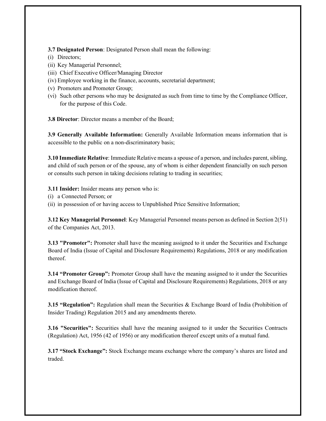3.7 Designated Person: Designated Person shall mean the following:

- (i) Directors;
- (ii) Key Managerial Personnel;
- (iii) Chief Executive Officer/Managing Director
- (iv) Employee working in the finance, accounts, secretarial department;
- (v) Promoters and Promoter Group;
- (vi) Such other persons who may be designated as such from time to time by the Compliance Officer, for the purpose of this Code.

3.8 Director: Director means a member of the Board;

3.9 Generally Available Information: Generally Available Information means information that is accessible to the public on a non-discriminatory basis;

3.10 Immediate Relative: Immediate Relative means a spouse of a person, and includes parent, sibling, and child of such person or of the spouse, any of whom is either dependent financially on such person or consults such person in taking decisions relating to trading in securities;

3.11 Insider: Insider means any person who is:

- (i) a Connected Person; or
- (ii) in possession of or having access to Unpublished Price Sensitive Information;

3.12 Key Managerial Personnel: Key Managerial Personnel means person as defined in Section 2(51) of the Companies Act, 2013.

**3.13 "Promoter":** Promoter shall have the meaning assigned to it under the Securities and Exchange Board of India (Issue of Capital and Disclosure Requirements) Regulations, 2018 or any modification thereof.

**3.14 "Promoter Group":** Promoter Group shall have the meaning assigned to it under the Securities and Exchange Board of India (Issue of Capital and Disclosure Requirements) Regulations, 2018 or any modification thereof.

**3.15 "Regulation":** Regulation shall mean the Securities & Exchange Board of India (Prohibition of Insider Trading) Regulation 2015 and any amendments thereto.

**3.16 "Securities":** Securities shall have the meaning assigned to it under the Securities Contracts (Regulation) Act, 1956 (42 of 1956) or any modification thereof except units of a mutual fund.

3.17 "Stock Exchange": Stock Exchange means exchange where the company's shares are listed and traded.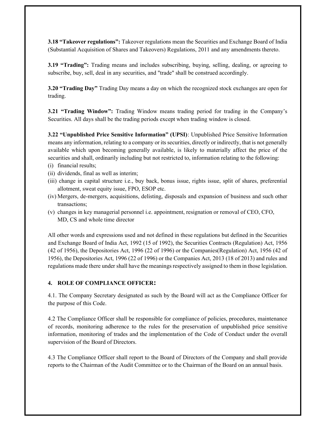3.18 "Takeover regulations": Takeover regulations mean the Securities and Exchange Board of India (Substantial Acquisition of Shares and Takeovers) Regulations, 2011 and any amendments thereto.

3.19 "Trading": Trading means and includes subscribing, buying, selling, dealing, or agreeing to subscribe, buy, sell, deal in any securities, and "trade" shall be construed accordingly.

**3.20 "Trading Day"** Trading Day means a day on which the recognized stock exchanges are open for trading.

3.21 "Trading Window": Trading Window means trading period for trading in the Company's Securities. All days shall be the trading periods except when trading window is closed.

3.22 "Unpublished Price Sensitive Information" (UPSI): Unpublished Price Sensitive Information means any information, relating to a company or its securities, directly or indirectly, that is not generally available which upon becoming generally available, is likely to materially affect the price of the securities and shall, ordinarily including but not restricted to, information relating to the following:

- (i) financial results;
- (ii) dividends, final as well as interim;
- (iii) change in capital structure i.e., buy back, bonus issue, rights issue, split of shares, preferential allotment, sweat equity issue, FPO, ESOP etc.
- (iv) Mergers, de-mergers, acquisitions, delisting, disposals and expansion of business and such other transactions;
- (v) changes in key managerial personnel i.e. appointment, resignation or removal of CEO, CFO, MD, CS and whole time director

All other words and expressions used and not defined in these regulations but defined in the Securities and Exchange Board of India Act, 1992 (15 of 1992), the Securities Contracts (Regulation) Act, 1956 (42 of 1956), the Depositories Act, 1996 (22 of 1996) or the Companies(Regulation) Act, 1956 (42 of 1956), the Depositories Act, 1996 (22 of 1996) or the Companies Act, 2013 (18 of 2013) and rules and regulations made there under shall have the meanings respectively assigned to them in those legislation.

#### 4. ROLE OF COMPLIANCE OFFICER:

4.1. The Company Secretary designated as such by the Board will act as the Compliance Officer for the purpose of this Code.

4.2 The Compliance Officer shall be responsible for compliance of policies, procedures, maintenance of records, monitoring adherence to the rules for the preservation of unpublished price sensitive information, monitoring of trades and the implementation of the Code of Conduct under the overall supervision of the Board of Directors.

4.3 The Compliance Officer shall report to the Board of Directors of the Company and shall provide reports to the Chairman of the Audit Committee or to the Chairman of the Board on an annual basis.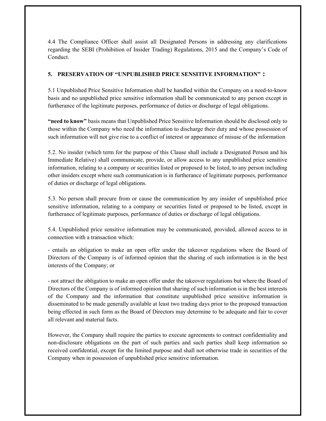4.4 The Compliance Officer shall assist all Designated Persons in addressing any clarifications regarding the SEBI (Prohibition of Insider Trading) Regulations, 2015 and the Company's Code of Conduct.

## 5. PRESERVATION OF "UNPUBLISHED PRICE SENSITIVE INFORMATION" :

5.1 Unpublished Price Sensitive Information shall be handled within the Company on a need-to-know basis and no unpublished price sensitive information shall be communicated to any person except in furtherance of the legitimate purposes, performance of duties or discharge of legal obligations.

"need to know" basis means that Unpublished Price Sensitive Information should be disclosed only to those within the Company who need the information to discharge their duty and whose possession of such information will not give rise to a conflict of interest or appearance of misuse of the information

5.2. No insider (which term for the purpose of this Clause shall include a Designated Person and his Immediate Relative) shall communicate, provide, or allow access to any unpublished price sensitive information, relating to a company or securities listed or proposed to be listed, to any person including other insiders except where such communication is in furtherance of legitimate purposes, performance of duties or discharge of legal obligations.

5.3. No person shall procure from or cause the communication by any insider of unpublished price sensitive information, relating to a company or securities listed or proposed to be listed, except in furtherance of legitimate purposes, performance of duties or discharge of legal obligations.

5.4. Unpublished price sensitive information may be communicated, provided, allowed access to in connection with a transaction which:

- entails an obligation to make an open offer under the takeover regulations where the Board of Directors of the Company is of informed opinion that the sharing of such information is in the best interests of the Company; or

- not attract the obligation to make an open offer under the takeover regulations but where the Board of Directors of the Company is of informed opinion that sharing of such information is in the best interests of the Company and the information that constitute unpublished price sensitive information is disseminated to be made generally available at least two trading days prior to the proposed transaction being effected in such form as the Board of Directors may determine to be adequate and fair to cover all relevant and material facts.

However, the Company shall require the parties to execute agreements to contract confidentiality and non-disclosure obligations on the part of such parties and such parties shall keep information so received confidential, except for the limited purpose and shall not otherwise trade in securities of the Company when in possession of unpublished price sensitive information.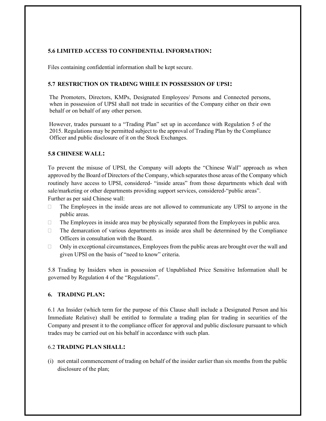## 5.6 LIMITED ACCESS TO CONFIDENTIAL INFORMATION:

Files containing confidential information shall be kept secure.

#### 5.7 RESTRICTION ON TRADING WHILE IN POSSESSION OF UPSI:

The Promoters, Directors, KMPs, Designated Employees/ Persons and Connected persons, when in possession of UPSI shall not trade in securities of the Company either on their own behalf or on behalf of any other person.

However, trades pursuant to a "Trading Plan" set up in accordance with Regulation 5 of the 2015. Regulations may be permitted subject to the approval of Trading Plan by the Compliance Officer and public disclosure of it on the Stock Exchanges.

#### 5.8 CHINESE WALL:

To prevent the misuse of UPSI, the Company will adopts the "Chinese Wall" approach as when approved by the Board of Directors of the Company, which separates those areas of the Company which routinely have access to UPSI, considered- "inside areas" from those departments which deal with sale/marketing or other departments providing support services, considered-"public areas". Further as per said Chinese wall:

- $\Box$  The Employees in the inside areas are not allowed to communicate any UPSI to anyone in the public areas.
- $\Box$  The Employees in inside area may be physically separated from the Employees in public area.
- The demarcation of various departments as inside area shall be determined by the Compliance Officers in consultation with the Board.
- $\Box$  Only in exceptional circumstances, Employees from the public areas are brought over the wall and given UPSI on the basis of "need to know" criteria.

5.8 Trading by Insiders when in possession of Unpublished Price Sensitive Information shall be governed by Regulation 4 of the "Regulations".

#### 6. TRADING PLAN:

6.1 An Insider (which term for the purpose of this Clause shall include a Designated Person and his Immediate Relative) shall be entitled to formulate a trading plan for trading in securities of the Company and present it to the compliance officer for approval and public disclosure pursuant to which trades may be carried out on his behalf in accordance with such plan.

#### 6.2 TRADING PLAN SHALL:

(i) not entail commencement of trading on behalf of the insider earlier than six months from the public disclosure of the plan;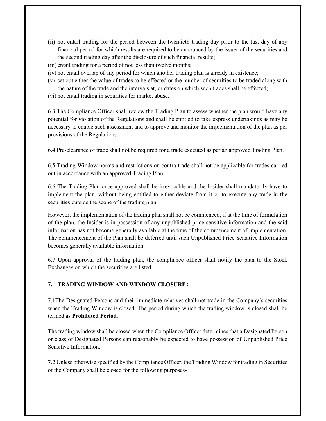- (ii) not entail trading for the period between the twentieth trading day prior to the last day of any financial period for which results are required to be announced by the issuer of the securities and the second trading day after the disclosure of such financial results;
- (iii) entail trading for a period of not less than twelve months;
- (iv) not entail overlap of any period for which another trading plan is already in existence;
- (v) set out either the value of trades to be effected or the number of securities to be traded along with the nature of the trade and the intervals at, or dates on which such trades shall be effected;
- (vi) not entail trading in securities for market abuse.

6.3 The Compliance Officer shall review the Trading Plan to assess whether the plan would have any potential for violation of the Regulations and shall be entitled to take express undertakings as may be necessary to enable such assessment and to approve and monitor the implementation of the plan as per provisions of the Regulations.

6.4 Pre-clearance of trade shall not be required for a trade executed as per an approved Trading Plan.

6.5 Trading Window norms and restrictions on contra trade shall not be applicable for trades carried out in accordance with an approved Trading Plan.

6.6 The Trading Plan once approved shall be irrevocable and the Insider shall mandatorily have to implement the plan, without being entitled to either deviate from it or to execute any trade in the securities outside the scope of the trading plan.

However, the implementation of the trading plan shall not be commenced, if at the time of formulation of the plan, the Insider is in possession of any unpublished price sensitive information and the said information has not become generally available at the time of the commencement of implementation. The commencement of the Plan shall be deferred until such Unpublished Price Sensitive Information becomes generally available information.

6.7 Upon approval of the trading plan, the compliance officer shall notify the plan to the Stock Exchanges on which the securities are listed.

## 7. TRADING WINDOW AND WINDOW CLOSURE:

7.1The Designated Persons and their immediate relatives shall not trade in the Company's securities when the Trading Window is closed. The period during which the trading window is closed shall be termed as Prohibited Period.

The trading window shall be closed when the Compliance Officer determines that a Designated Person or class of Designated Persons can reasonably be expected to have possession of Unpublished Price Sensitive Information.

7.2 Unless otherwise specified by the Compliance Officer, the Trading Window for trading in Securities of the Company shall be closed for the following purposes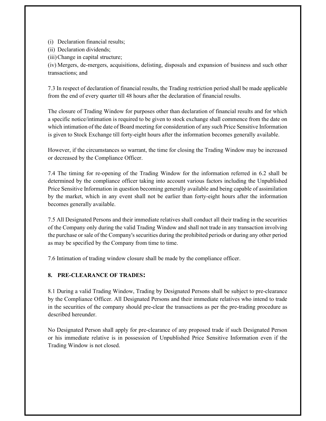(i) Declaration financial results;

(ii) Declaration dividends;

(iii)Change in capital structure;

(iv) Mergers, de-mergers, acquisitions, delisting, disposals and expansion of business and such other transactions; and

7.3 In respect of declaration of financial results, the Trading restriction period shall be made applicable from the end of every quarter till 48 hours after the declaration of financial results.

The closure of Trading Window for purposes other than declaration of financial results and for which a specific notice/intimation is required to be given to stock exchange shall commence from the date on which intimation of the date of Board meeting for consideration of any such Price Sensitive Information is given to Stock Exchange till forty-eight hours after the information becomes generally available.

However, if the circumstances so warrant, the time for closing the Trading Window may be increased or decreased by the Compliance Officer.

7.4 The timing for re-opening of the Trading Window for the information referred in 6.2 shall be determined by the compliance officer taking into account various factors including the Unpublished Price Sensitive Information in question becoming generally available and being capable of assimilation by the market, which in any event shall not be earlier than forty-eight hours after the information becomes generally available.

7.5 All Designated Persons and their immediate relatives shall conduct all their trading in the securities of the Company only during the valid Trading Window and shall not trade in any transaction involving the purchase or sale of the Company's securities during the prohibited periods or during any other period as may be specified by the Company from time to time.

7.6 Intimation of trading window closure shall be made by the compliance officer.

## 8. PRE-CLEARANCE OF TRADES:

8.1 During a valid Trading Window, Trading by Designated Persons shall be subject to pre-clearance by the Compliance Officer. All Designated Persons and their immediate relatives who intend to trade in the securities of the company should pre-clear the transactions as per the pre-trading procedure as described hereunder.

No Designated Person shall apply for pre-clearance of any proposed trade if such Designated Person or his immediate relative is in possession of Unpublished Price Sensitive Information even if the Trading Window is not closed.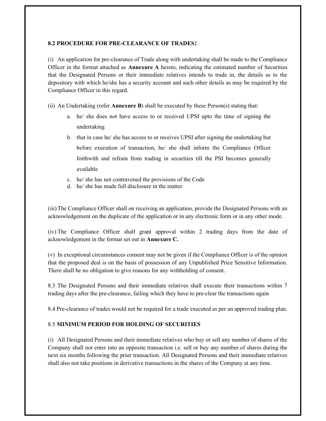#### 8.2 PROCEDURE FOR PRE-CLEARANCE OF TRADES:

(i) An application for pre-clearance of Trade along with undertaking shall be made to the Compliance Officer in the format attached as Annexure A hereto, indicating the estimated number of Securities that the Designated Persons or their immediate relatives intends to trade in, the details as to the depository with which he/she has a security account and such other details as may be required by the Compliance Officer in this regard.

(ii) An Undertaking (refer **Annexure B**) shall be executed by these Person(s) stating that:

- a. he/ she does not have access to or received UPSI upto the time of signing the undertaking
- b. that in case he/ she has access to or receives UPSI after signing the undertaking but before execution of transaction, he/ she shall inform the Compliance Officer forthwith and refrain from trading in securities till the PSI becomes generally available
- c. he/ she has not contravened the provisions of the Code
- d. he/ she has made full disclosure in the matter

(iii)The Compliance Officer shall on receiving an application, provide the Designated Persons with an acknowledgement on the duplicate of the application or in any electronic form or in any other mode.

(iv) The Compliance Officer shall grant approval within 2 trading days from the date of acknowledgement in the format set out in Annexure C.

(v) In exceptional circumstances consent may not be given if the Compliance Officer is of the opinion that the proposed deal is on the basis of possession of any Unpublished Price Sensitive Information. There shall be no obligation to give reasons for any withholding of consent.

8.3 The Designated Persons and their immediate relatives shall execute their transactions within 7 trading days after the pre-clearance, failing which they have to pre-clear the transactions again

8.4 Pre-clearance of trades would not be required for a trade executed as per an approved trading plan.

#### 8.5 MINIMUM PERIOD FOR HOLDING OF SECURITIES

(i) All Designated Persons and their immediate relatives who buy or sell any number of shares of the Company shall not enter into an opposite transaction i.e. sell or buy any number of shares during the next six months following the prior transaction. All Designated Persons and their immediate relatives shall also not take positions in derivative transactions in the shares of the Company at any time.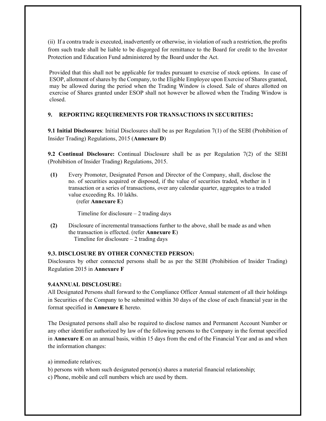(ii) If a contra trade is executed, inadvertently or otherwise, in violation of such a restriction, the profits from such trade shall be liable to be disgorged for remittance to the Board for credit to the Investor Protection and Education Fund administered by the Board under the Act.

Provided that this shall not be applicable for trades pursuant to exercise of stock options. In case of ESOP, allotment of shares by the Company, to the Eligible Employee upon Exercise of Shares granted, may be allowed during the period when the Trading Window is closed. Sale of shares allotted on exercise of Shares granted under ESOP shall not however be allowed when the Trading Window is closed.

## 9. REPORTING REQUIREMENTS FOR TRANSACTIONS IN SECURITIES:

9.1 Initial Disclosures: Initial Disclosures shall be as per Regulation 7(1) of the SEBI (Prohibition of Insider Trading) Regulations, 2015 (Annexure D)

9.2 Continual Disclosure: Continual Disclosure shall be as per Regulation 7(2) of the SEBI (Prohibition of Insider Trading) Regulations, 2015.

(1) Every Promoter, Designated Person and Director of the Company, shall, disclose the no. of securities acquired or disposed, if the value of securities traded, whether in 1 transaction or a series of transactions, over any calendar quarter, aggregates to a traded value exceeding Rs. 10 lakhs.

(refer Annexure E)

Timeline for disclosure  $-2$  trading days

(2) Disclosure of incremental transactions further to the above, shall be made as and when the transaction is effected. (refer Annexure E) Timeline for disclosure – 2 trading days

#### 9.3. DISCLOSURE BY OTHER CONNECTED PERSON:

Disclosures by other connected persons shall be as per the SEBI (Prohibition of Insider Trading) Regulation 2015 in Annexure F

#### 9.4ANNUAL DISCLOSURE:

All Designated Persons shall forward to the Compliance Officer Annual statement of all their holdings in Securities of the Company to be submitted within 30 days of the close of each financial year in the format specified in Annexure E hereto.

The Designated persons shall also be required to disclose names and Permanent Account Number or any other identifier authorized by law of the following persons to the Company in the format specified in Annexure E on an annual basis, within 15 days from the end of the Financial Year and as and when the information changes:

a) immediate relatives;

b) persons with whom such designated person(s) shares a material financial relationship;

c) Phone, mobile and cell numbers which are used by them.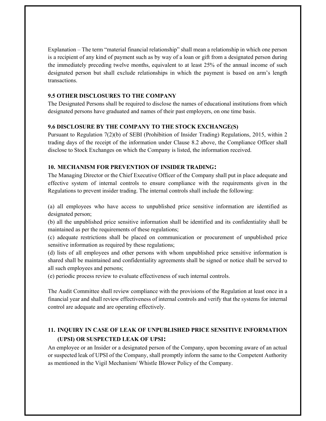Explanation – The term "material financial relationship" shall mean a relationship in which one person is a recipient of any kind of payment such as by way of a loan or gift from a designated person during the immediately preceding twelve months, equivalent to at least 25% of the annual income of such designated person but shall exclude relationships in which the payment is based on arm's length transactions.

## 9.5 OTHER DISCLOSURES TO THE COMPANY

The Designated Persons shall be required to disclose the names of educational institutions from which designated persons have graduated and names of their past employers, on one time basis.

## 9.6 DISCLOSURE BY THE COMPANY TO THE STOCK EXCHANGE(S)

Pursuant to Regulation 7(2)(b) of SEBI (Prohibition of Insider Trading) Regulations, 2015, within 2 trading days of the receipt of the information under Clause 8.2 above, the Compliance Officer shall disclose to Stock Exchanges on which the Company is listed, the information received.

## 10. MECHANISM FOR PREVENTION OF INSIDER TRADING:

The Managing Director or the Chief Executive Officer of the Company shall put in place adequate and effective system of internal controls to ensure compliance with the requirements given in the Regulations to prevent insider trading. The internal controls shall include the following:

(a) all employees who have access to unpublished price sensitive information are identified as designated person;

(b) all the unpublished price sensitive information shall be identified and its confidentiality shall be maintained as per the requirements of these regulations;

(c) adequate restrictions shall be placed on communication or procurement of unpublished price sensitive information as required by these regulations;

(d) lists of all employees and other persons with whom unpublished price sensitive information is shared shall be maintained and confidentiality agreements shall be signed or notice shall be served to all such employees and persons;

(e) periodic process review to evaluate effectiveness of such internal controls.

The Audit Committee shall review compliance with the provisions of the Regulation at least once in a financial year and shall review effectiveness of internal controls and verify that the systems for internal control are adequate and are operating effectively.

## 11. INQUIRY IN CASE OF LEAK OF UNPUBLISHED PRICE SENSITIVE INFORMATION (UPSI) OR SUSPECTED LEAK OF UPSI:

An employee or an Insider or a designated person of the Company, upon becoming aware of an actual or suspected leak of UPSI of the Company, shall promptly inform the same to the Competent Authority as mentioned in the Vigil Mechanism/ Whistle Blower Policy of the Company.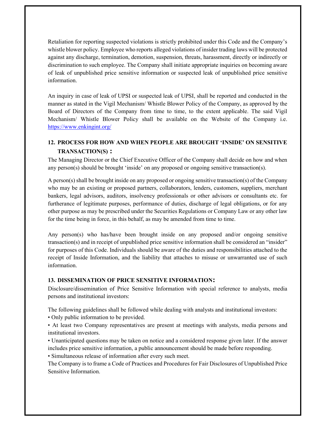Retaliation for reporting suspected violations is strictly prohibited under this Code and the Company's whistle blower policy. Employee who reports alleged violations of insider trading laws will be protected against any discharge, termination, demotion, suspension, threats, harassment, directly or indirectly or discrimination to such employee. The Company shall initiate appropriate inquiries on becoming aware of leak of unpublished price sensitive information or suspected leak of unpublished price sensitive information.

An inquiry in case of leak of UPSI or suspected leak of UPSI, shall be reported and conducted in the manner as stated in the Vigil Mechanism/ Whistle Blower Policy of the Company, as approved by the Board of Directors of the Company from time to time, to the extent applicable. The said Vigil Mechanism/ Whistle Blower Policy shall be available on the Website of the Company i.e. https://www.enkingint.org/

## 12. PROCESS FOR HOW AND WHEN PEOPLE ARE BROUGHT 'INSIDE' ON SENSITIVE TRANSACTION(S) :

The Managing Director or the Chief Executive Officer of the Company shall decide on how and when any person(s) should be brought 'inside' on any proposed or ongoing sensitive transaction(s).

A person(s) shall be brought inside on any proposed or ongoing sensitive transaction(s) of the Company who may be an existing or proposed partners, collaborators, lenders, customers, suppliers, merchant bankers, legal advisors, auditors, insolvency professionals or other advisors or consultants etc. for furtherance of legitimate purposes, performance of duties, discharge of legal obligations, or for any other purpose as may be prescribed under the Securities Regulations or Company Law or any other law for the time being in force, in this behalf, as may be amended from time to time.

Any person(s) who has/have been brought inside on any proposed and/or ongoing sensitive transaction(s) and in receipt of unpublished price sensitive information shall be considered an "insider" for purposes of this Code. Individuals should be aware of the duties and responsibilities attached to the receipt of Inside Information, and the liability that attaches to misuse or unwarranted use of such information.

## 13. DISSEMINATION OF PRICE SENSITIVE INFORMATION:

Disclosure/dissemination of Price Sensitive Information with special reference to analysts, media persons and institutional investors:

The following guidelines shall be followed while dealing with analysts and institutional investors:

• Only public information to be provided.

• At least two Company representatives are present at meetings with analysts, media persons and institutional investors.

• Unanticipated questions may be taken on notice and a considered response given later. If the answer includes price sensitive information, a public announcement should be made before responding.

• Simultaneous release of information after every such meet.

The Company is to frame a Code of Practices and Procedures for Fair Disclosures of Unpublished Price Sensitive Information.